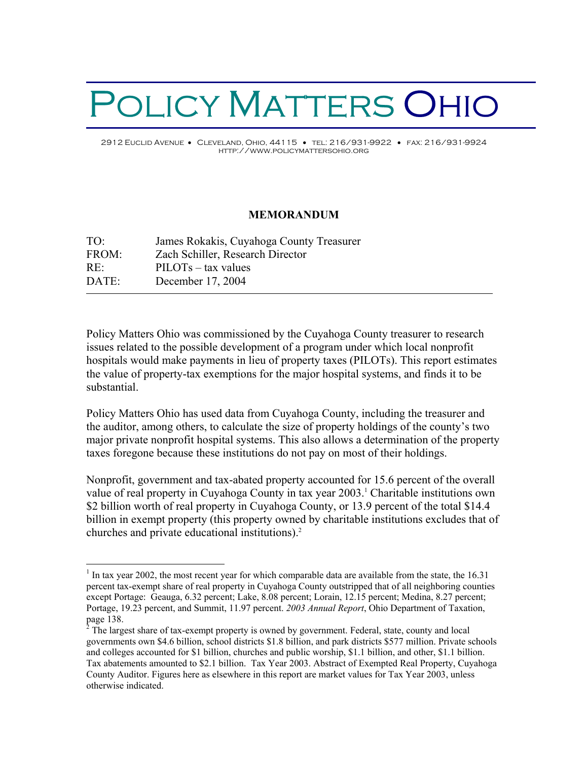## POLICY MATTERS OHIO 2912 Euclid Avenue • Cleveland, Ohio, 44115 • tel: 216/931-9922 • fax: 216/931-9924

http://www.policymattersohio.org

## **MEMORANDUM**

| TO <sup>1</sup> | James Rokakis, Cuyahoga County Treasurer |
|-----------------|------------------------------------------|
| FROM:           | Zach Schiller, Research Director         |
| RE:             | $PILOTs - tax$ values                    |
| DATE:           | December 17, 2004                        |
|                 |                                          |

 $\overline{a}$ 

Policy Matters Ohio was commissioned by the Cuyahoga County treasurer to research issues related to the possible development of a program under which local nonprofit hospitals would make payments in lieu of property taxes (PILOTs). This report estimates the value of property-tax exemptions for the major hospital systems, and finds it to be substantial.

Policy Matters Ohio has used data from Cuyahoga County, including the treasurer and the auditor, among others, to calculate the size of property holdings of the county's two major private nonprofit hospital systems. This also allows a determination of the property taxes foregone because these institutions do not pay on most of their holdings.

Nonprofit, government and tax-abated property accounted for 15.6 percent of the overall value of real property in Cuyahoga County in tax year 2003.<sup>1</sup> Charitable institutions own \$2 billion worth of real property in Cuyahoga County, or 13.9 percent of the total \$14.4 billion in exempt property (this property owned by charitable institutions excludes that of churches and private educational institutions).<sup>2</sup>

 $1$  In tax year 2002, the most recent year for which comparable data are available from the state, the 16.31 percent tax-exempt share of real property in Cuyahoga County outstripped that of all neighboring counties except Portage: Geauga, 6.32 percent; Lake, 8.08 percent; Lorain, 12.15 percent; Medina, 8.27 percent; Portage, 19.23 percent, and Summit, 11.97 percent. *2003 Annual Report*, Ohio Department of Taxation, page 138.

<sup>&</sup>lt;sup>2</sup> The largest share of tax-exempt property is owned by government. Federal, state, county and local governments own \$4.6 billion, school districts \$1.8 billion, and park districts \$577 million. Private schools and colleges accounted for \$1 billion, churches and public worship, \$1.1 billion, and other, \$1.1 billion. Tax abatements amounted to \$2.1 billion. Tax Year 2003. Abstract of Exempted Real Property, Cuyahoga County Auditor. Figures here as elsewhere in this report are market values for Tax Year 2003, unless otherwise indicated.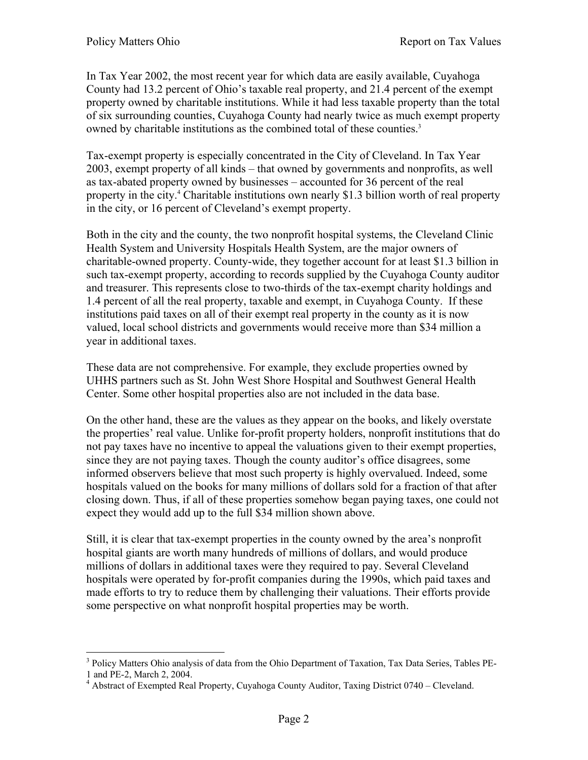In Tax Year 2002, the most recent year for which data are easily available, Cuyahoga County had 13.2 percent of Ohio's taxable real property, and 21.4 percent of the exempt property owned by charitable institutions. While it had less taxable property than the total of six surrounding counties, Cuyahoga County had nearly twice as much exempt property owned by charitable institutions as the combined total of these counties.<sup>3</sup>

Tax-exempt property is especially concentrated in the City of Cleveland. In Tax Year 2003, exempt property of all kinds – that owned by governments and nonprofits, as well as tax-abated property owned by businesses – accounted for 36 percent of the real property in the city.<sup>4</sup> Charitable institutions own nearly \$1.3 billion worth of real property in the city, or 16 percent of Cleveland's exempt property.

Both in the city and the county, the two nonprofit hospital systems, the Cleveland Clinic Health System and University Hospitals Health System, are the major owners of charitable-owned property. County-wide, they together account for at least \$1.3 billion in such tax-exempt property, according to records supplied by the Cuyahoga County auditor and treasurer. This represents close to two-thirds of the tax-exempt charity holdings and 1.4 percent of all the real property, taxable and exempt, in Cuyahoga County. If these institutions paid taxes on all of their exempt real property in the county as it is now valued, local school districts and governments would receive more than \$34 million a year in additional taxes.

These data are not comprehensive. For example, they exclude properties owned by UHHS partners such as St. John West Shore Hospital and Southwest General Health Center. Some other hospital properties also are not included in the data base.

On the other hand, these are the values as they appear on the books, and likely overstate the properties' real value. Unlike for-profit property holders, nonprofit institutions that do not pay taxes have no incentive to appeal the valuations given to their exempt properties, since they are not paying taxes. Though the county auditor's office disagrees, some informed observers believe that most such property is highly overvalued. Indeed, some hospitals valued on the books for many millions of dollars sold for a fraction of that after closing down. Thus, if all of these properties somehow began paying taxes, one could not expect they would add up to the full \$34 million shown above.

Still, it is clear that tax-exempt properties in the county owned by the area's nonprofit hospital giants are worth many hundreds of millions of dollars, and would produce millions of dollars in additional taxes were they required to pay. Several Cleveland hospitals were operated by for-profit companies during the 1990s, which paid taxes and made efforts to try to reduce them by challenging their valuations. Their efforts provide some perspective on what nonprofit hospital properties may be worth.

 $\overline{a}$ <sup>3</sup> Policy Matters Ohio analysis of data from the Ohio Department of Taxation, Tax Data Series, Tables PE-1 and PE-2, March 2, 2004.

<sup>&</sup>lt;sup>4</sup> Abstract of Exempted Real Property, Cuyahoga County Auditor, Taxing District 0740 – Cleveland.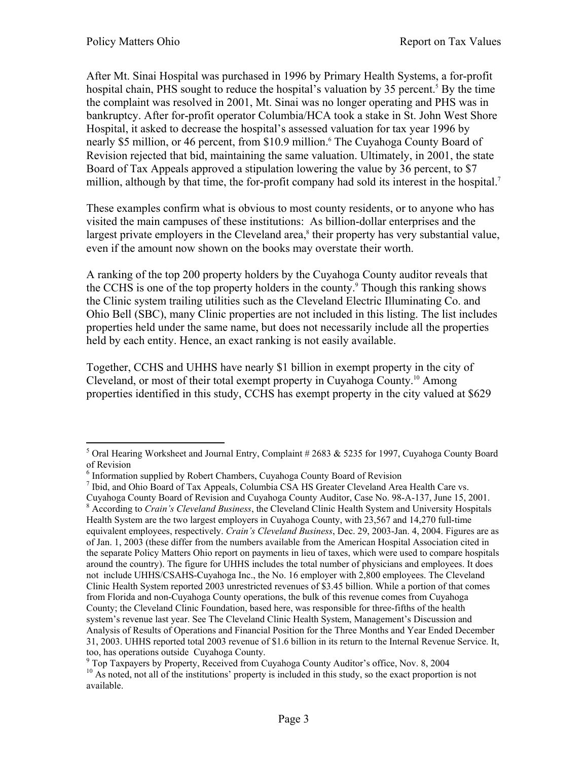$\overline{a}$ 

After Mt. Sinai Hospital was purchased in 1996 by Primary Health Systems, a for-profit hospital chain, PHS sought to reduce the hospital's valuation by 35 percent.<sup>5</sup> By the time the complaint was resolved in 2001, Mt. Sinai was no longer operating and PHS was in bankruptcy. After for-profit operator Columbia/HCA took a stake in St. John West Shore Hospital, it asked to decrease the hospital's assessed valuation for tax year 1996 by nearly \$5 million, or 46 percent, from \$10.9 million.<sup>6</sup> The Cuyahoga County Board of Revision rejected that bid, maintaining the same valuation. Ultimately, in 2001, the state Board of Tax Appeals approved a stipulation lowering the value by 36 percent, to \$7 million, although by that time, the for-profit company had sold its interest in the hospital.<sup>7</sup>

These examples confirm what is obvious to most county residents, or to anyone who has visited the main campuses of these institutions: As billion-dollar enterprises and the largest private employers in the Cleveland area,<sup>8</sup> their property has very substantial value, even if the amount now shown on the books may overstate their worth.

A ranking of the top 200 property holders by the Cuyahoga County auditor reveals that the CCHS is one of the top property holders in the county.<sup>9</sup> Though this ranking shows the Clinic system trailing utilities such as the Cleveland Electric Illuminating Co. and Ohio Bell (SBC), many Clinic properties are not included in this listing. The list includes properties held under the same name, but does not necessarily include all the properties held by each entity. Hence, an exact ranking is not easily available.

Together, CCHS and UHHS have nearly \$1 billion in exempt property in the city of Cleveland, or most of their total exempt property in Cuyahoga County.10 Among properties identified in this study, CCHS has exempt property in the city valued at \$629

<sup>&</sup>lt;sup>5</sup> Oral Hearing Worksheet and Journal Entry, Complaint #2683 & 5235 for 1997, Cuyahoga County Board of Revision

<sup>&</sup>lt;sup>6</sup> Information supplied by Robert Chambers, Cuyahoga County Board of Revision

<sup>&</sup>lt;sup>7</sup> Ibid, and Ohio Board of Tax Appeals, Columbia CSA HS Greater Cleveland Area Health Care vs.

Cuyahoga County Board of Revision and Cuyahoga County Auditor, Case No. 98-A-137, June 15, 2001. <sup>8</sup> According to *Crain's Cleveland Business*, the Cleveland Clinic Health System and University Hospitals Health System are the two largest employers in Cuyahoga County, with 23,567 and 14,270 full-time equivalent employees, respectively. *Crain's Cleveland Business*, Dec. 29, 2003-Jan. 4, 2004. Figures are as of Jan. 1, 2003 (these differ from the numbers available from the American Hospital Association cited in the separate Policy Matters Ohio report on payments in lieu of taxes, which were used to compare hospitals around the country). The figure for UHHS includes the total number of physicians and employees. It does not include UHHS/CSAHS-Cuyahoga Inc., the No. 16 employer with 2,800 employees. The Cleveland Clinic Health System reported 2003 unrestricted revenues of \$3.45 billion. While a portion of that comes from Florida and non-Cuyahoga County operations, the bulk of this revenue comes from Cuyahoga County; the Cleveland Clinic Foundation, based here, was responsible for three-fifths of the health system's revenue last year. See The Cleveland Clinic Health System, Management's Discussion and Analysis of Results of Operations and Financial Position for the Three Months and Year Ended December 31, 2003. UHHS reported total 2003 revenue of \$1.6 billion in its return to the Internal Revenue Service. It, too, has operations outside Cuyahoga County.

<sup>&</sup>lt;sup>9</sup> Top Taxpayers by Property, Received from Cuyahoga County Auditor's office, Nov. 8, 2004

 $10$  As noted, not all of the institutions' property is included in this study, so the exact proportion is not available.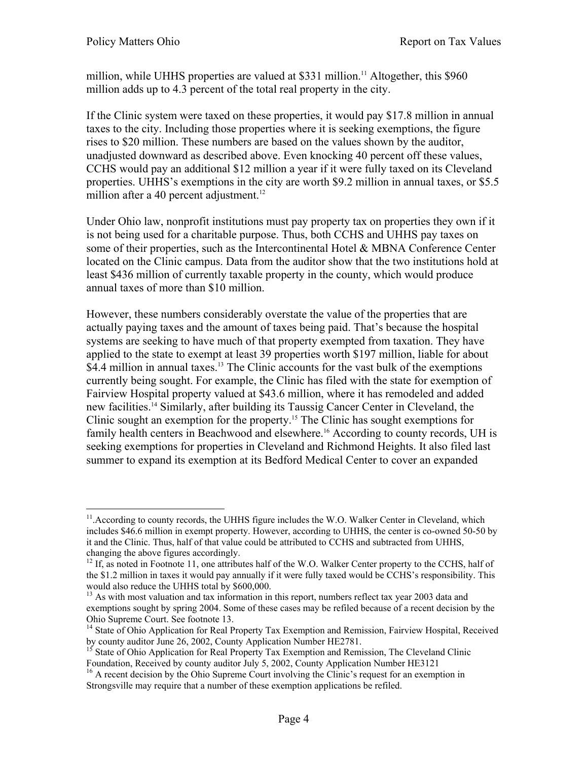million, while UHHS properties are valued at \$331 million.<sup>11</sup> Altogether, this \$960 million adds up to 4.3 percent of the total real property in the city.

If the Clinic system were taxed on these properties, it would pay \$17.8 million in annual taxes to the city. Including those properties where it is seeking exemptions, the figure rises to \$20 million. These numbers are based on the values shown by the auditor, unadjusted downward as described above. Even knocking 40 percent off these values, CCHS would pay an additional \$12 million a year if it were fully taxed on its Cleveland properties. UHHS's exemptions in the city are worth \$9.2 million in annual taxes, or \$5.5 million after a 40 percent adjustment. $12$ 

Under Ohio law, nonprofit institutions must pay property tax on properties they own if it is not being used for a charitable purpose. Thus, both CCHS and UHHS pay taxes on some of their properties, such as the Intercontinental Hotel & MBNA Conference Center located on the Clinic campus. Data from the auditor show that the two institutions hold at least \$436 million of currently taxable property in the county, which would produce annual taxes of more than \$10 million.

However, these numbers considerably overstate the value of the properties that are actually paying taxes and the amount of taxes being paid. That's because the hospital systems are seeking to have much of that property exempted from taxation. They have applied to the state to exempt at least 39 properties worth \$197 million, liable for about \$4.4 million in annual taxes.<sup>13</sup> The Clinic accounts for the vast bulk of the exemptions currently being sought. For example, the Clinic has filed with the state for exemption of Fairview Hospital property valued at \$43.6 million, where it has remodeled and added new facilities.14 Similarly, after building its Taussig Cancer Center in Cleveland, the Clinic sought an exemption for the property.15 The Clinic has sought exemptions for family health centers in Beachwood and elsewhere.<sup>16</sup> According to county records, UH is seeking exemptions for properties in Cleveland and Richmond Heights. It also filed last summer to expand its exemption at its Bedford Medical Center to cover an expanded

 $\overline{a}$ <sup>11</sup>. According to county records, the UHHS figure includes the W.O. Walker Center in Cleveland, which includes \$46.6 million in exempt property. However, according to UHHS, the center is co-owned 50-50 by it and the Clinic. Thus, half of that value could be attributed to CCHS and subtracted from UHHS,

<sup>&</sup>lt;sup>12</sup> If, as noted in Footnote 11, one attributes half of the W.O. Walker Center property to the CCHS, half of the \$1.2 million in taxes it would pay annually if it were fully taxed would be CCHS's responsibility. This would also reduce the UHHS total by \$600,000.

<sup>&</sup>lt;sup>13</sup> As with most valuation and tax information in this report, numbers reflect tax year 2003 data and exemptions sought by spring 2004. Some of these cases may be refiled because of a recent decision by the Ohio Supreme Court. See footnote 13.

<sup>&</sup>lt;sup>14</sup> State of Ohio Application for Real Property Tax Exemption and Remission, Fairview Hospital, Received by county auditor June 26, 2002, County Application Number HE2781.

<sup>&</sup>lt;sup>15</sup> State of Ohio Application for Real Property Tax Exemption and Remission, The Cleveland Clinic Foundation, Received by county auditor July 5, 2002, County Application Number HE3121 <sup>16</sup> A recent decision by the Ohio Supreme Court involving the Clinic's request for an exemption in

Strongsville may require that a number of these exemption applications be refiled.